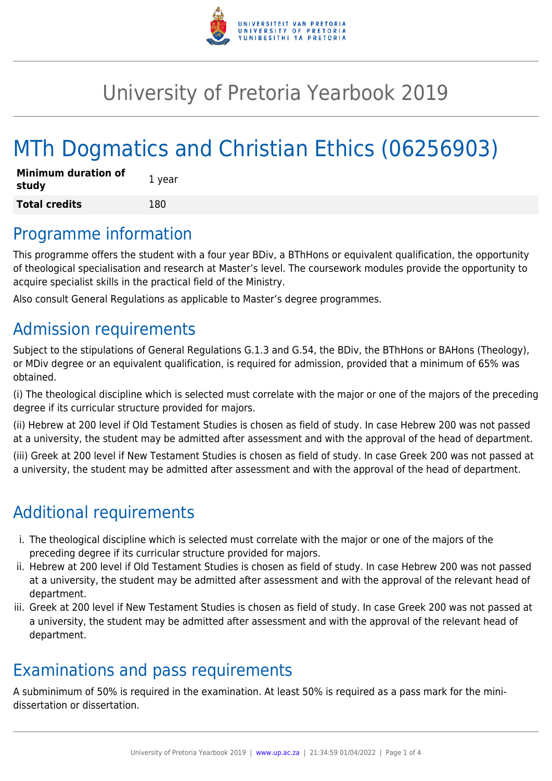

## University of Pretoria Yearbook 2019

# MTh Dogmatics and Christian Ethics (06256903)

| <b>Minimum duration of</b><br>study | 1 year |
|-------------------------------------|--------|
| <b>Total credits</b>                | 180    |

### Programme information

This programme offers the student with a four year BDiv, a BThHons or equivalent qualification, the opportunity of theological specialisation and research at Master's level. The coursework modules provide the opportunity to acquire specialist skills in the practical field of the Ministry.

Also consult General Regulations as applicable to Master's degree programmes.

### Admission requirements

Subject to the stipulations of General Regulations G.1.3 and G.54, the BDiv, the BThHons or BAHons (Theology), or MDiv degree or an equivalent qualification, is required for admission, provided that a minimum of 65% was obtained.

(i) The theological discipline which is selected must correlate with the major or one of the majors of the preceding degree if its curricular structure provided for majors.

(ii) Hebrew at 200 level if Old Testament Studies is chosen as field of study. In case Hebrew 200 was not passed at a university, the student may be admitted after assessment and with the approval of the head of department.

(iii) Greek at 200 level if New Testament Studies is chosen as field of study. In case Greek 200 was not passed at a university, the student may be admitted after assessment and with the approval of the head of department.

### Additional requirements

- i. The theological discipline which is selected must correlate with the major or one of the majors of the preceding degree if its curricular structure provided for majors.
- ii. Hebrew at 200 level if Old Testament Studies is chosen as field of study. In case Hebrew 200 was not passed at a university, the student may be admitted after assessment and with the approval of the relevant head of department.
- iii. Greek at 200 level if New Testament Studies is chosen as field of study. In case Greek 200 was not passed at a university, the student may be admitted after assessment and with the approval of the relevant head of department.

### Examinations and pass requirements

A subminimum of 50% is required in the examination. At least 50% is required as a pass mark for the minidissertation or dissertation.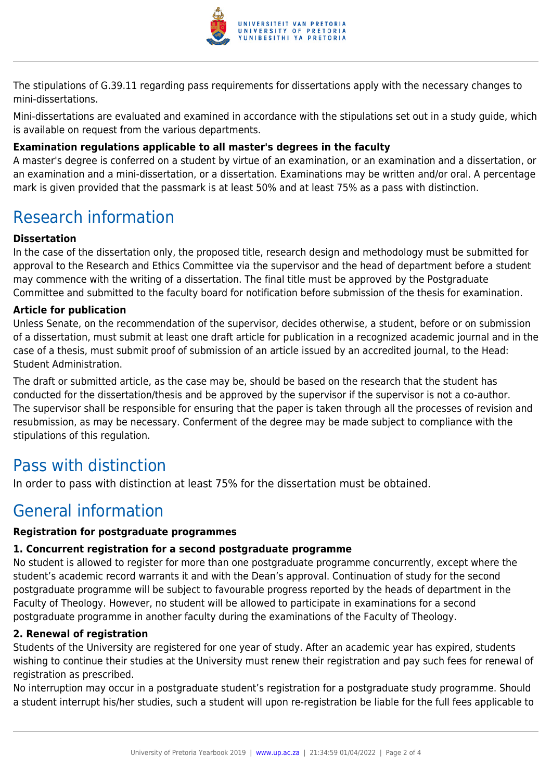

The stipulations of G.39.11 regarding pass requirements for dissertations apply with the necessary changes to mini-dissertations.

Mini-dissertations are evaluated and examined in accordance with the stipulations set out in a study guide, which is available on request from the various departments.

#### **Examination regulations applicable to all master's degrees in the faculty**

A master's degree is conferred on a student by virtue of an examination, or an examination and a dissertation, or an examination and a mini-dissertation, or a dissertation. Examinations may be written and/or oral. A percentage mark is given provided that the passmark is at least 50% and at least 75% as a pass with distinction.

### Research information

#### **Dissertation**

In the case of the dissertation only, the proposed title, research design and methodology must be submitted for approval to the Research and Ethics Committee via the supervisor and the head of department before a student may commence with the writing of a dissertation. The final title must be approved by the Postgraduate Committee and submitted to the faculty board for notification before submission of the thesis for examination.

#### **Article for publication**

Unless Senate, on the recommendation of the supervisor, decides otherwise, a student, before or on submission of a dissertation, must submit at least one draft article for publication in a recognized academic journal and in the case of a thesis, must submit proof of submission of an article issued by an accredited journal, to the Head: Student Administration.

The draft or submitted article, as the case may be, should be based on the research that the student has conducted for the dissertation/thesis and be approved by the supervisor if the supervisor is not a co-author. The supervisor shall be responsible for ensuring that the paper is taken through all the processes of revision and resubmission, as may be necessary. Conferment of the degree may be made subject to compliance with the stipulations of this regulation.

### Pass with distinction

In order to pass with distinction at least 75% for the dissertation must be obtained.

### General information

#### **Registration for postgraduate programmes**

#### **1. Concurrent registration for a second postgraduate programme**

No student is allowed to register for more than one postgraduate programme concurrently, except where the student's academic record warrants it and with the Dean's approval. Continuation of study for the second postgraduate programme will be subject to favourable progress reported by the heads of department in the Faculty of Theology. However, no student will be allowed to participate in examinations for a second postgraduate programme in another faculty during the examinations of the Faculty of Theology.

#### **2. Renewal of registration**

Students of the University are registered for one year of study. After an academic year has expired, students wishing to continue their studies at the University must renew their registration and pay such fees for renewal of registration as prescribed.

No interruption may occur in a postgraduate student's registration for a postgraduate study programme. Should a student interrupt his/her studies, such a student will upon re-registration be liable for the full fees applicable to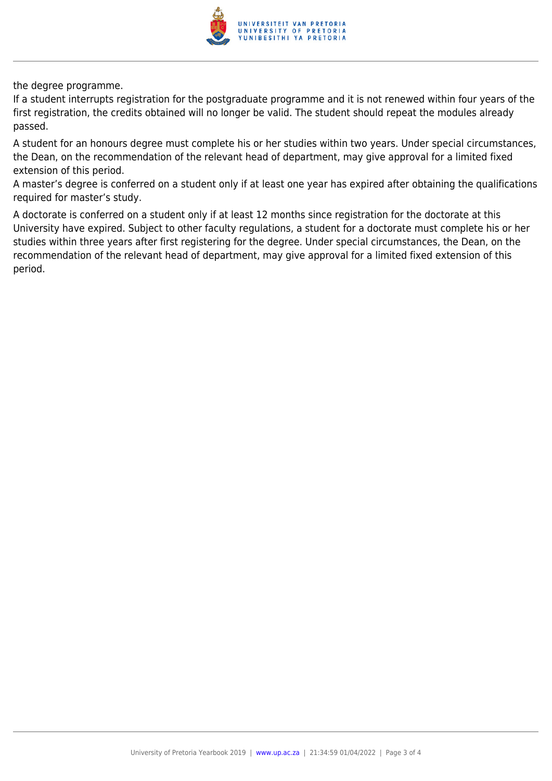

the degree programme.

If a student interrupts registration for the postgraduate programme and it is not renewed within four years of the first registration, the credits obtained will no longer be valid. The student should repeat the modules already passed.

A student for an honours degree must complete his or her studies within two years. Under special circumstances, the Dean, on the recommendation of the relevant head of department, may give approval for a limited fixed extension of this period.

A master's degree is conferred on a student only if at least one year has expired after obtaining the qualifications required for master's study.

A doctorate is conferred on a student only if at least 12 months since registration for the doctorate at this University have expired. Subject to other faculty regulations, a student for a doctorate must complete his or her studies within three years after first registering for the degree. Under special circumstances, the Dean, on the recommendation of the relevant head of department, may give approval for a limited fixed extension of this period.